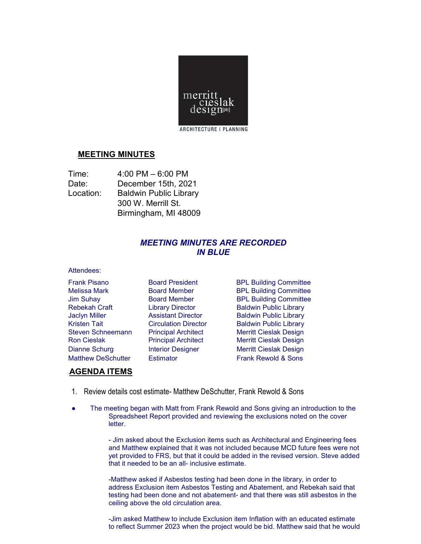

## <sup>U</sup>**MEETING MINUTES**

| Time:     | $4:00$ PM $-6:00$ PM          |
|-----------|-------------------------------|
| Date:     | December 15th, 2021           |
| Location: | <b>Baldwin Public Library</b> |
|           | 300 W. Merrill St.            |
|           | Birmingham, MI 48009          |

## *MEETING MINUTES ARE RECORDED IN BLUE*

## Attendees:

Frank Pisano Board President BPL Building Committee Melissa Mark **Board Member** BPL Building Committee Jim Suhay Board Member BPL Building Committee Rebekah Craft **Library Director** Baldwin Public Library Jaclyn Miller Assistant Director Baldwin Public Library Kristen Tait **Circulation Director** Baldwin Public Library Steven Schneemann Principal Architect Merritt Cieslak Design Principal Architect Merritt Cieslak Design Dianne Schurg **Interior Designer** Merritt Cieslak Design Matthew DeSchutter Estimator **External Constant Constant Rewold & Sons** 

## <sup>U</sup>**AGENDA ITEMS**

- 1. Review details cost estimate- Matthew DeSchutter, Frank Rewold & Sons
- The meeting began with Matt from Frank Rewold and Sons giving an introduction to the Spreadsheet Report provided and reviewing the exclusions noted on the cover letter.

- Jim asked about the Exclusion items such as Architectural and Engineering fees and Matthew explained that it was not included because MCD future fees were not yet provided to FRS, but that it could be added in the revised version. Steve added that it needed to be an all- inclusive estimate.

-Matthew asked if Asbestos testing had been done in the library, in order to address Exclusion item Asbestos Testing and Abatement, and Rebekah said that testing had been done and not abatement- and that there was still asbestos in the ceiling above the old circulation area.

-Jim asked Matthew to include Exclusion item Inflation with an educated estimate to reflect Summer 2023 when the project would be bid. Matthew said that he would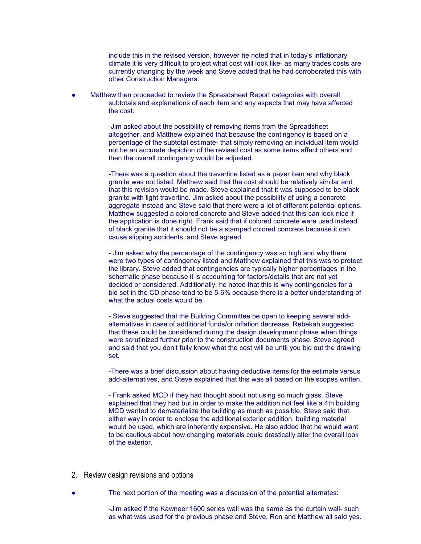include this in the revised version, however he noted that in today's inflationary climate it is very difficult to project what cost will look like- as many trades costs are currently changing by the week and Steve added that he had corroborated this with other Construction Managers.

Matthew then proceeded to review the Spreadsheet Report categories with overall subtotals and explanations of each item and any aspects that may have affected the cost.

> -Jim asked about the possibility of removing items from the Spreadsheet altogether, and Matthew explained that because the contingency is based on a percentage of the subtotal estimate- that simply removing an individual item would not be an accurate depiction of the revised cost as some items affect others and then the overall contingency would be adjusted.

-There was a question about the travertine listed as a paver item and why black granite was not listed. Matthew said that the cost should be relatively similar and that this revision would be made. Steve explained that it was supposed to be black granite with light travertine. Jim asked about the possibility of using a concrete aggregate instead and Steve said that there were a lot of different potential options. Matthew suggested a colored concrete and Steve added that this can look nice if the application is done right. Frank said that if colored concrete were used instead of black granite that it should not be a stamped colored concrete because it can cause slipping accidents, and Steve agreed.

- Jim asked why the percentage of the contingency was so high and why there were two types of contingency listed and Matthew explained that this was to protect the library. Steve added that contingencies are typically higher percentages in the schematic phase because it is accounting for factors/details that are not yet decided or considered. Additionally, he noted that this is why contingencies for a bid set in the CD phase tend to be 5-6% because there is a better understanding of what the actual costs would be.

- Steve suggested that the Building Committee be open to keeping several addalternatives in case of additional funds/or inflation decrease. Rebekah suggested that these could be considered during the design development phase when things were scrutinized further prior to the construction documents phase. Steve agreed and said that you don't fully know what the cost will be until you bid out the drawing set.

-There was a brief discussion about having deductive items for the estimate versus add-alternatives, and Steve explained that this was all based on the scopes written.

- Frank asked MCD if they had thought about not using so much glass. Steve explained that they had but in order to make the addition not feel like a 4th building MCD wanted to dematerialize the building as much as possible. Steve said that either way in order to enclose the additional exterior addition, building material would be used, which are inherently expensive. He also added that he would want to be cautious about how changing materials could drastically alter the overall look of the exterior.

- 2. Review design revisions and options
	- The next portion of the meeting was a discussion of the potential alternates:

-Jim asked if the Kawneer 1600 series wall was the same as the curtain wall- such as what was used for the previous phase and Steve, Ron and Matthew all said yes.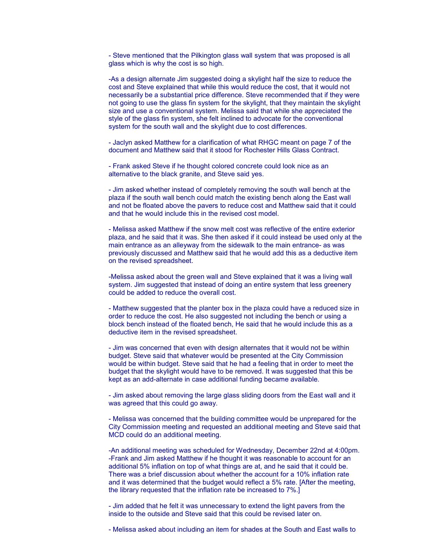- Steve mentioned that the Pilkington glass wall system that was proposed is all glass which is why the cost is so high.

-As a design alternate Jim suggested doing a skylight half the size to reduce the cost and Steve explained that while this would reduce the cost, that it would not necessarily be a substantial price difference. Steve recommended that if they were not going to use the glass fin system for the skylight, that they maintain the skylight size and use a conventional system. Melissa said that while she appreciated the style of the glass fin system, she felt inclined to advocate for the conventional system for the south wall and the skylight due to cost differences.

- Jaclyn asked Matthew for a clarification of what RHGC meant on page 7 of the document and Matthew said that it stood for Rochester Hills Glass Contract.

- Frank asked Steve if he thought colored concrete could look nice as an alternative to the black granite, and Steve said yes.

- Jim asked whether instead of completely removing the south wall bench at the plaza if the south wall bench could match the existing bench along the East wall and not be floated above the pavers to reduce cost and Matthew said that it could and that he would include this in the revised cost model.

- Melissa asked Matthew if the snow melt cost was reflective of the entire exterior plaza, and he said that it was. She then asked if it could instead be used only at the main entrance as an alleyway from the sidewalk to the main entrance- as was previously discussed and Matthew said that he would add this as a deductive item on the revised spreadsheet.

-Melissa asked about the green wall and Steve explained that it was a living wall system. Jim suggested that instead of doing an entire system that less greenery could be added to reduce the overall cost.

- Matthew suggested that the planter box in the plaza could have a reduced size in order to reduce the cost. He also suggested not including the bench or using a block bench instead of the floated bench, He said that he would include this as a deductive item in the revised spreadsheet.

- Jim was concerned that even with design alternates that it would not be within budget. Steve said that whatever would be presented at the City Commission would be within budget. Steve said that he had a feeling that in order to meet the budget that the skylight would have to be removed. It was suggested that this be kept as an add-alternate in case additional funding became available.

- Jim asked about removing the large glass sliding doors from the East wall and it was agreed that this could go away.

- Melissa was concerned that the building committee would be unprepared for the City Commission meeting and requested an additional meeting and Steve said that MCD could do an additional meeting.

-An additional meeting was scheduled for Wednesday, December 22nd at 4:00pm. -Frank and Jim asked Matthew if he thought it was reasonable to account for an additional 5% inflation on top of what things are at, and he said that it could be. There was a brief discussion about whether the account for a 10% inflation rate and it was determined that the budget would reflect a 5% rate. [After the meeting, the library requested that the inflation rate be increased to 7%.]

- Jim added that he felt it was unnecessary to extend the light pavers from the inside to the outside and Steve said that this could be revised later on.

- Melissa asked about including an item for shades at the South and East walls to